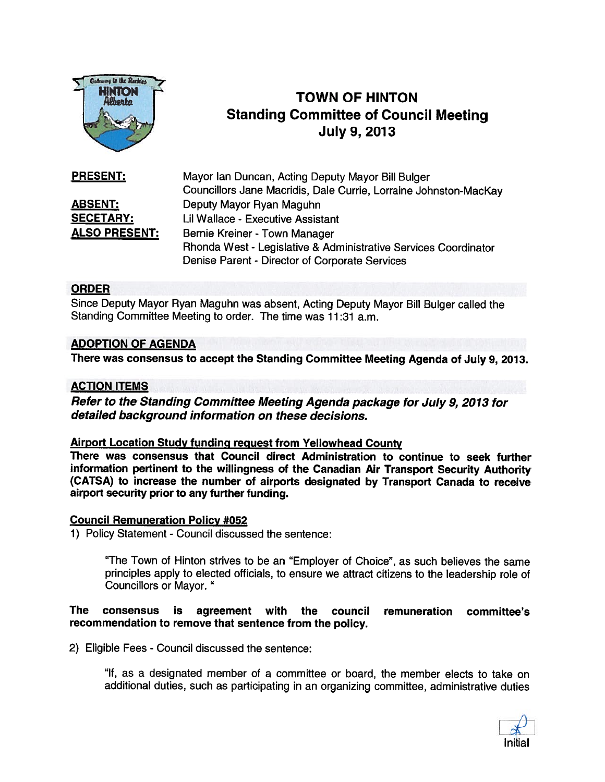

# **TOWN OF HINTON** Standing Committee of Council Meeting<br>July 9, 2013

| <b>PRESENT:</b>      | Mayor Ian Duncan, Acting Deputy Mayor Bill Bulger                |
|----------------------|------------------------------------------------------------------|
|                      | Councillors Jane Macridis, Dale Currie, Lorraine Johnston-MacKay |
| <b>ABSENT:</b>       | Deputy Mayor Ryan Maguhn                                         |
| <b>SECETARY:</b>     | Lil Wallace - Executive Assistant                                |
| <b>ALSO PRESENT:</b> | Bernie Kreiner - Town Manager                                    |
|                      | Rhonda West - Legislative & Administrative Services Coordinator  |
|                      | Denise Parent - Director of Corporate Services                   |

#### ORDER

Since Deputy Mayor Ryan Maguhn was absent, Acting Deputy Mayor Bill Bulger called the Standing Committee Meeting to order. The time was 11:31 a.m.

#### ADOPTION OF AGENDA

There was consensus to accep<sup>t</sup> the Standing Committee Meeting Agenda of July 9, 2013.

#### ACTION ITEMS

Refer to the Standing Committee Meeting Agenda package for July 9, <sup>2013</sup> for detailed background information on these decisions.

#### Airport Location Study funding reques<sup>t</sup> from Yellowhead County

There was consensus that Council direct Administration to continue to seek further information pertinent to the willingness of the Canadian Air Transport Security Authority (CATSA) to increase the number of airports designated by Transport Canada to receive airport security prior to any further funding.

#### Council Remuneration Policy #052

1) Policy Statement - Council discussed the sentence:

"The Town of Hinton strives to be an "Employer of Choice", as such believes the same principles apply to elected officials, to ensure we attract citizens to the leadership role of Councillors or Mayor."

#### The consensus is agreemen<sup>t</sup> with the council remuneration committee's recommendation to remove that sentence from the policy.

2) Eligible Fees - Council discussed the sentence:

"It, as <sup>a</sup> designated member of <sup>a</sup> committee or board, the member elects to take on additional duties, such as participating in an organizing committee, administrative duties

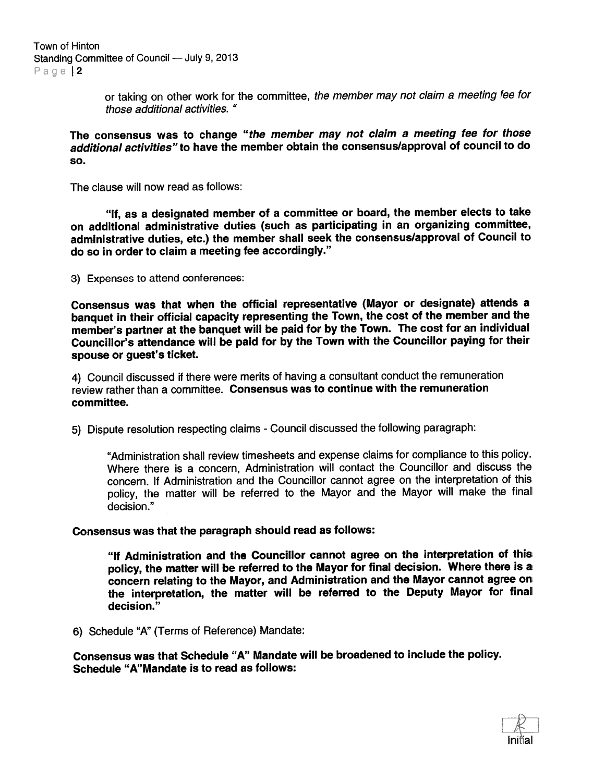or taking on other work for the committee, the member may not claim a meeting fee for those additional activities.

The consensus was to change "the member may not claim a meeting fee for those additional activities"to have the member obtain the consensus/approval of council to do so.

The clause will now read as follows:

"If, as <sup>a</sup> designated member of <sup>a</sup> committee or board, the member elects to take on additional administrative duties (such as participating in an organizing committee, administrative duties, etc.) the member shall seek the consensus/approval of Council to do so in order to claim <sup>a</sup> meeting fee accordingly."

3) Expenses to attend conferences:

Consensus was that when the official representative (Mayor or designate) attends <sup>a</sup> banquet in their official capacity representing the Town, the cost of the member and the member's partner at the banquet will be paid for by the Town. The cost for an individual Councillor's attendance will be paid for by the Town with the Councillor paying for their spouse or guest's ticket.

4) Council discussed if there were merits of having <sup>a</sup> consultant conduct the remuneration review rather than <sup>a</sup> committee. Consensus was to continue with the remuneration committee.

5) Dispute resolution respecting claims -Council discussed the following paragraph:

"Administration shall review timesheets and expense claims for compliance to this policy. Where there is <sup>a</sup> concern, Administration will contact the Councillor and discuss the concern. If Administration and the Councillor cannot agree on the interpretation of this policy, the matter will be referred to the Mayor and the Mayor will make the final decision."

Consensus was that the paragraph should read as follows:

"If Administration and the Councillor cannot agree on the interpretation of this policy, the matter will be referred to the Mayor for final decision. Where there is <sup>a</sup> concern relating to the Mayor, and Administration and the Mayor cannot agree on the interpretation, the matter will be referred to the Deputy Mayor for final decision."

6) Schedule "A" (Terms of Reference) Mandate:

Consensus was that Schedule "A" Mandate will be broadened to include the policy. Schedule "A"Mandate is to read as follows:

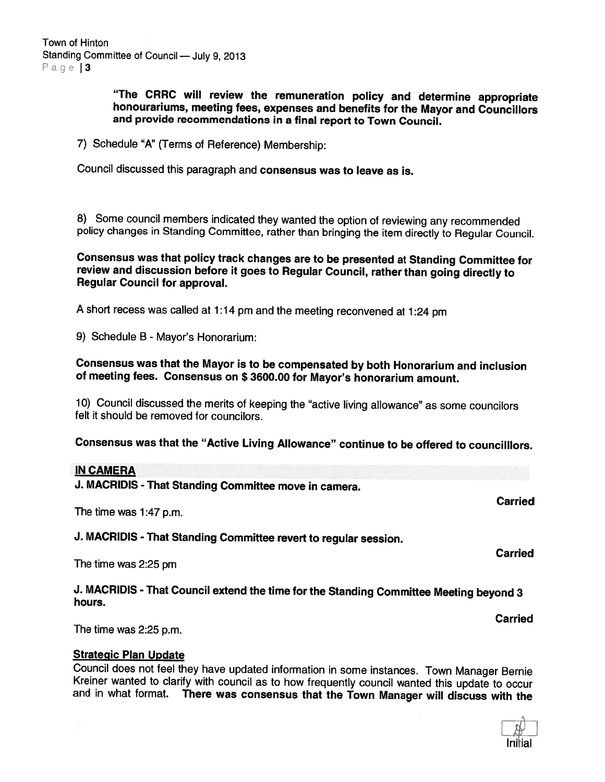"The CRRC will review the remuneration policy and determine appropriate honourariums, meeting fees, expenses and benefits for the Mayor and Councillors and provide recommendations in <sup>a</sup> final report to Town Council.

7) Schedule "A" (Terms of Reference) Membership:

Council discussed this paragraph and consensus was to leave as is.

8) Some council members indicated they wanted the option of reviewing any recommended policy changes in Standing Committee, rather than bringing the item directly to Regular Council.

Consensus was that policy track changes are to be presented at Standing Committee for review and discussion before it goes to Regular Council, rather than going directly to Regular Council for approval.

<sup>A</sup> short recess was called at 1:14 pm and the meeting reconvened at 1:24 pm

9) Schedule <sup>B</sup> - Mayor's Honorarium:

Consensus was that the Mayor is to be compensated by both Honorarium and inclusion of meeting fees. Consensus on \$ 3600.00 for Mayor's honorarium amount.

10) Council discussed the merits of keeping the "active living allowance" as some councilors felt it should be removed for councilors.

Consensus was that the "Active Living Allowance" continue to be offered to councilllors.

#### IN CAMERA

J. MACRIDIS - That Standing Committee move in camera.

The time was 1:47 p.m.

J. MACRIDIS - That Standing Committee revert to regular session.

The time was 2:25 pm

J. MACRIDIS -That Council extend the time for the Standing Committee Meeting beyond <sup>3</sup> hours.

The time was 2:25 p.m.

Strategic Plan Update<br>Council does not feel they have updated information in some instances. Town Manager Bernie Kreiner wanted to clarify with council as to how frequently council wanted this update to occur<br>and in what format. There was consensus that the Town Manager will discuss with the



Carried

Carried

Carried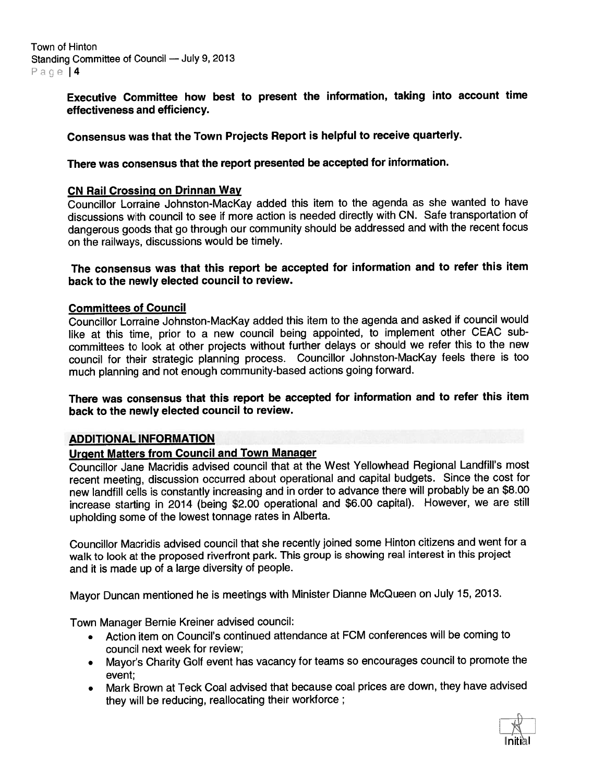Town of Hinton Standing Committee of Council — July 9, 2013 Page | 4

> Executive Committee how best to presen<sup>t</sup> the information, taking into account time effectiveness and efficiency.

#### Consensus was that the Town Projects Report is helpful to receive quarterly.

#### There was consensus that the repor<sup>t</sup> presented be accepted for information.

#### CN Rail Crossing on Drinnan Way

Councillor Lorraine Johnston-Mackay added this item to the agenda as she wanted to have discussions with council to see if more action is needed directly with ON. Safe transportation of dangerous goods that go through our community should be addressed and with the recent focus on the railways, discussions would be timely.

#### The consensus was that this repor<sup>t</sup> be accepted for information and to refer this item back to the newly elected council to review.

#### Committees of Council

Councillor Lorraine Johnston-Mackay added this item to the agenda and asked if council would like at this time, prior to <sup>a</sup> new council being appointed, to implement other CEAC sub committees to look at other projects without further delays or should we refer this to the new council for their strategic <sup>p</sup>lanning process. Councillor Johnston-MacKay feels there is too much <sup>p</sup>lanning and not enoug<sup>h</sup> community-based actions going forward.

#### There was consensus that this repor<sup>t</sup> be accepted for information and to refer this item back to the newly elected council to review.

#### ADDITIONAL INFORMATION

#### Urgent Matters from Council and Town Manager

Councillor Jane Macridis advised council that at the West Yellowhead Regional Landfill's most recent meeting, discussion occurred about operational and capital budgets. Since the cost for new landfill cells is constantly increasing and in order to advance there will probably be an \$8.00 increase starting in <sup>2014</sup> (being \$2.00 operational and \$6.00 capital). However, we are still upholding some of the lowest tonnage rates in Alberta.

Councillor Macridis advised council that she recently joined some Hinton citizens and went for <sup>a</sup> walk to look at the propose<sup>d</sup> rivertront park. This group is showing real interest in this project and it is made up of <sup>a</sup> large diversity of people.

Mayor Duncan mentioned he is meetings with Minister Dianne McQueen on July 15, 2013.

Town Manager Bernie Kreiner advised council:

- Action item on Council's continued attendance at FCM conferences will be coming to council next week for review;
- Mayor's Charity Golf event has vacancy for teams so encourages council to promote the event;
- • Mark Brown at Teck Coal advised that because coal prices are down, they have advised they will be reducing, reallocating their workforce;